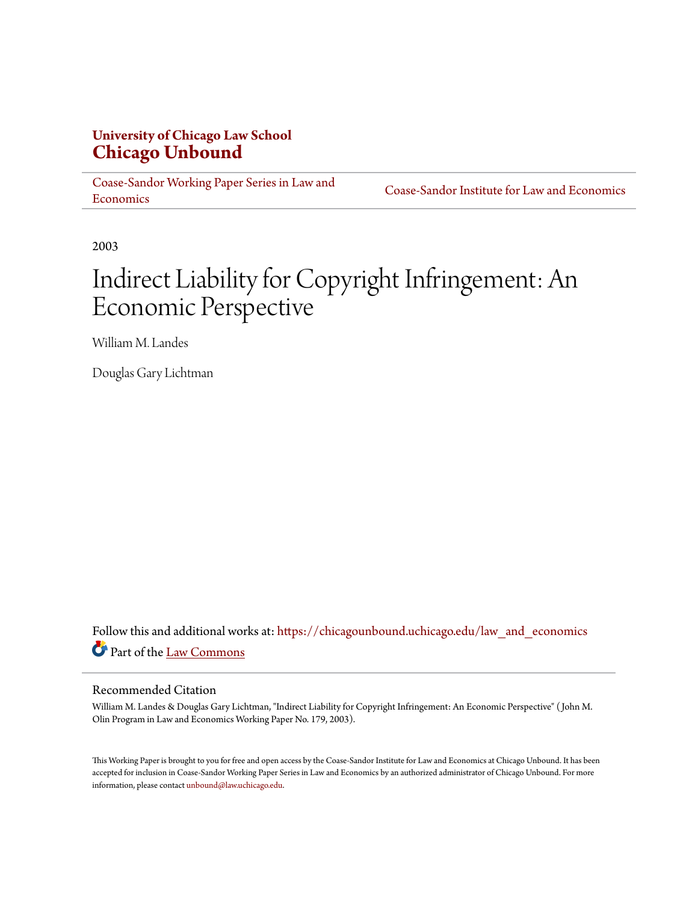## **University of Chicago Law School [Chicago Unbound](https://chicagounbound.uchicago.edu?utm_source=chicagounbound.uchicago.edu%2Flaw_and_economics%2F264&utm_medium=PDF&utm_campaign=PDFCoverPages)**

[Coase-Sandor Working Paper Series in Law and](https://chicagounbound.uchicago.edu/law_and_economics?utm_source=chicagounbound.uchicago.edu%2Flaw_and_economics%2F264&utm_medium=PDF&utm_campaign=PDFCoverPages) [Economics](https://chicagounbound.uchicago.edu/law_and_economics?utm_source=chicagounbound.uchicago.edu%2Flaw_and_economics%2F264&utm_medium=PDF&utm_campaign=PDFCoverPages)

[Coase-Sandor Institute for Law and Economics](https://chicagounbound.uchicago.edu/coase_sandor_institute?utm_source=chicagounbound.uchicago.edu%2Flaw_and_economics%2F264&utm_medium=PDF&utm_campaign=PDFCoverPages)

2003

# Indirect Liability for Copyright Infringement: An Economic Perspective

William M. Landes

Douglas Gary Lichtman

Follow this and additional works at: [https://chicagounbound.uchicago.edu/law\\_and\\_economics](https://chicagounbound.uchicago.edu/law_and_economics?utm_source=chicagounbound.uchicago.edu%2Flaw_and_economics%2F264&utm_medium=PDF&utm_campaign=PDFCoverPages) Part of the [Law Commons](http://network.bepress.com/hgg/discipline/578?utm_source=chicagounbound.uchicago.edu%2Flaw_and_economics%2F264&utm_medium=PDF&utm_campaign=PDFCoverPages)

#### Recommended Citation

William M. Landes & Douglas Gary Lichtman, "Indirect Liability for Copyright Infringement: An Economic Perspective" ( John M. Olin Program in Law and Economics Working Paper No. 179, 2003).

This Working Paper is brought to you for free and open access by the Coase-Sandor Institute for Law and Economics at Chicago Unbound. It has been accepted for inclusion in Coase-Sandor Working Paper Series in Law and Economics by an authorized administrator of Chicago Unbound. For more information, please contact [unbound@law.uchicago.edu.](mailto:unbound@law.uchicago.edu)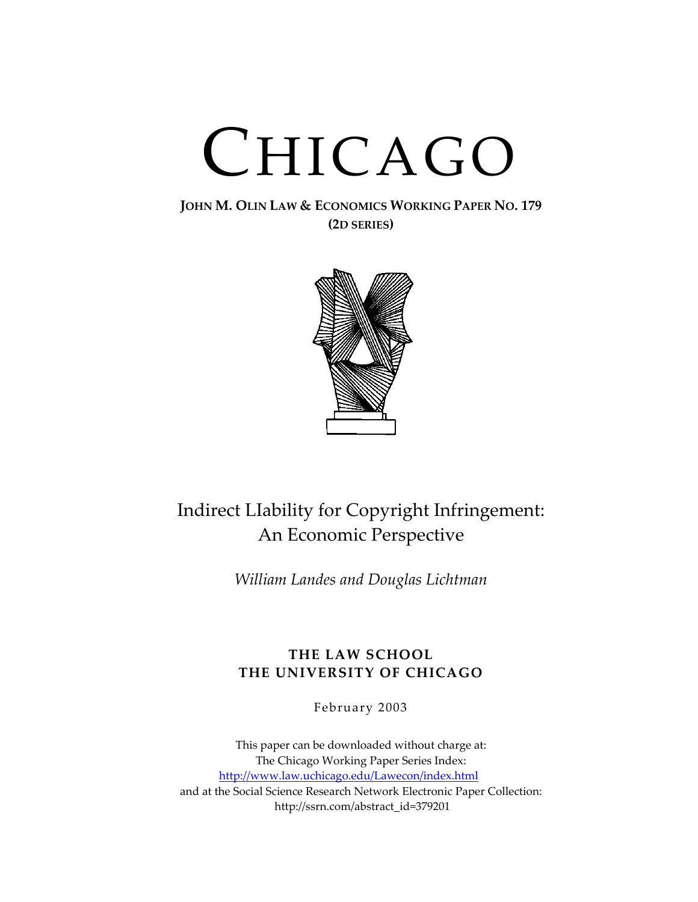

**JOHN M. OLIN LAW & ECONOMICS WORKING PAPER NO. 179 (2D SERIES)**



## Indirect LIability for Copyright Infringement: An Economic Perspective

*William Landes and Douglas Lichtman*

## **THE LAW SCHOOL THE UNIVERSITY OF CHICAGO**

February 2003

This paper can be downloaded without charge at: The Chicago Working Paper Series Index: [http://www.law.uchicago.edu/Lawecon/index.html](http://www.law.uchicago.edu/Publications/Working/index.html) and at the Social Science Research Network Electronic Paper Collection: [http://ssrn.com/abstract\\_id=3](http://papers.ssrn.com/sol3/search.taf)79201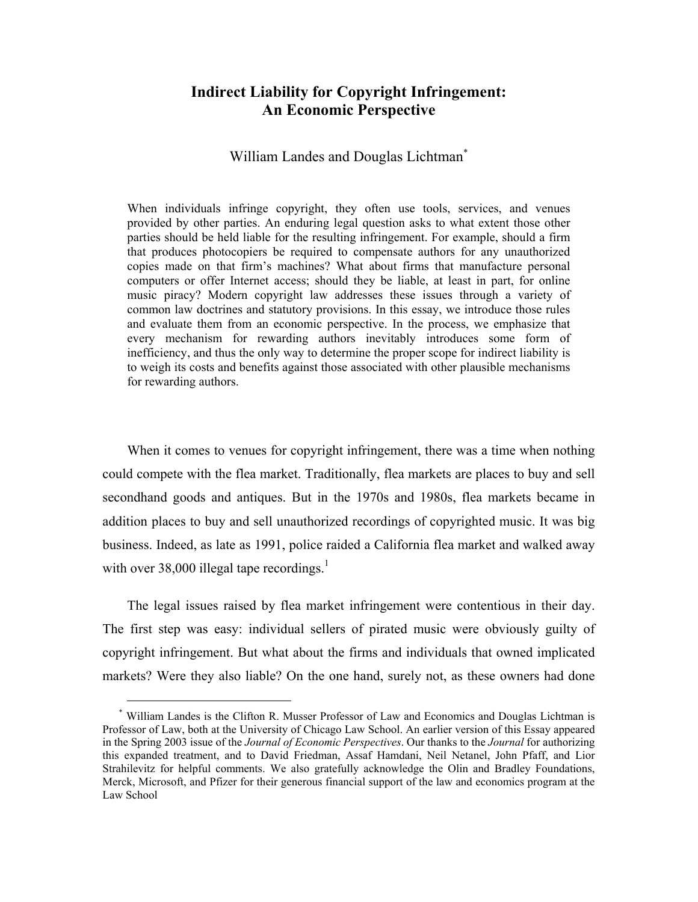## **Indirect Liability for Copyright Infringement: An Economic Perspective**

#### William Landes and Douglas Lichtman<sup>[\\*](#page-3-0)</sup>

When individuals infringe copyright, they often use tools, services, and venues provided by other parties. An enduring legal question asks to what extent those other parties should be held liable for the resulting infringement. For example, should a firm that produces photocopiers be required to compensate authors for any unauthorized copies made on that firm's machines? What about firms that manufacture personal computers or offer Internet access; should they be liable, at least in part, for online music piracy? Modern copyright law addresses these issues through a variety of common law doctrines and statutory provisions. In this essay, we introduce those rules and evaluate them from an economic perspective. In the process, we emphasize that every mechanism for rewarding authors inevitably introduces some form of inefficiency, and thus the only way to determine the proper scope for indirect liability is to weigh its costs and benefits against those associated with other plausible mechanisms for rewarding authors.

When it comes to venues for copyright infringement, there was a time when nothing could compete with the flea market. Traditionally, flea markets are places to buy and sell secondhand goods and antiques. But in the 1970s and 1980s, flea markets became in addition places to buy and sell unauthorized recordings of copyrighted music. It was big business. Indeed, as late as 1991, police raided a California flea market and walked away with over 38,000 illegal tape recordings. $<sup>1</sup>$ </sup>

The legal issues raised by flea market infringement were contentious in their day. The first step was easy: individual sellers of pirated music were obviously guilty of copyright infringement. But what about the firms and individuals that owned implicated markets? Were they also liable? On the one hand, surely not, as these owners had done

<span id="page-3-1"></span><span id="page-3-0"></span><sup>\*</sup> William Landes is the Clifton R. Musser Professor of Law and Economics and Douglas Lichtman is Professor of Law, both at the University of Chicago Law School. An earlier version of this Essay appeared in the Spring 2003 issue of the *Journal of Economic Perspectives*. Our thanks to the *Journal* for authorizing this expanded treatment, and to David Friedman, Assaf Hamdani, Neil Netanel, John Pfaff, and Lior Strahilevitz for helpful comments. We also gratefully acknowledge the Olin and Bradley Foundations, Merck, Microsoft, and Pfizer for their generous financial support of the law and economics program at the Law School.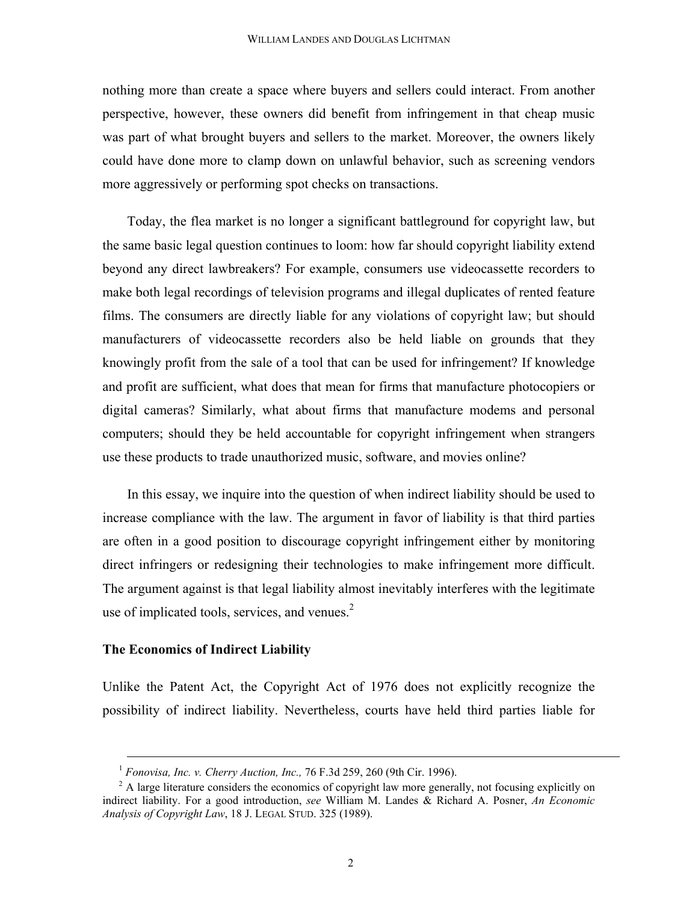nothing more than create a space where buyers and sellers could interact. From another perspective, however, these owners did benefit from infringement in that cheap music was part of what brought buyers and sellers to the market. Moreover, the owners likely could have done more to clamp down on unlawful behavior, such as screening vendors more aggressively or performing spot checks on transactions.

Today, the flea market is no longer a significant battleground for copyright law, but the same basic legal question continues to loom: how far should copyright liability extend beyond any direct lawbreakers? For example, consumers use videocassette recorders to make both legal recordings of television programs and illegal duplicates of rented feature films. The consumers are directly liable for any violations of copyright law; but should manufacturers of videocassette recorders also be held liable on grounds that they knowingly profit from the sale of a tool that can be used for infringement? If knowledge and profit are sufficient, what does that mean for firms that manufacture photocopiers or digital cameras? Similarly, what about firms that manufacture modems and personal computers; should they be held accountable for copyright infringement when strangers use these products to trade unauthorized music, software, and movies online?

In this essay, we inquire into the question of when indirect liability should be used to increase compliance with the law. The argument in favor of liability is that third parties are often in a good position to discourage copyright infringement either by monitoring direct infringers or redesigning their technologies to make infringement more difficult. The argument against is that legal liability almost inevitably interferes with the legitimate use of implicated tools, services, and venues.<sup>[2](#page-4-0)</sup>

#### **The Economics of Indirect Liability**

Unlike the Patent Act, the Copyright Act of 1976 does not explicitly recognize the possibility of indirect liability. Nevertheless, courts have held third parties liable for

<span id="page-4-0"></span> $1$  *Fonovisa, Inc. v. Cherry Auction, Inc., 76 F.3d 259, 260 (9th Cir. 1996).* 

 $^2$  A large literature considers the economics of copyright law more generally, not focusing explicitly on indirect liability. For a good introduction, *see* William M. Landes & Richard A. Posner, *An Economic Analysis of Copyright Law*, 18 J. LEGAL STUD. 325 (1989).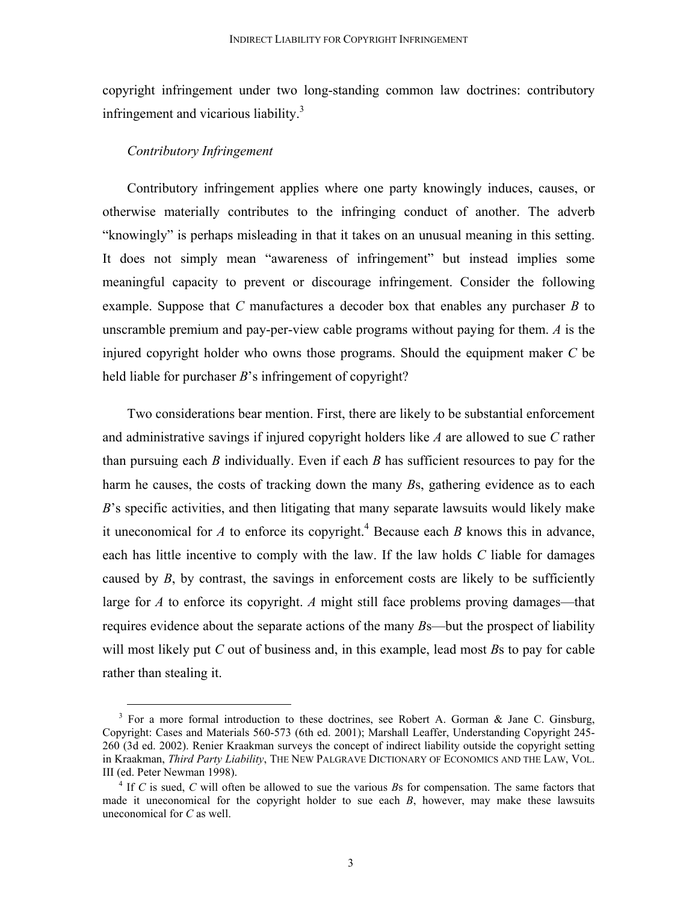copyright infringement under two long-standing common law doctrines: contributory infringement and vicarious liability. $3$ 

#### *Contributory Infringement*

<span id="page-5-0"></span> $\overline{a}$ 

Contributory infringement applies where one party knowingly induces, causes, or otherwise materially contributes to the infringing conduct of another. The adverb "knowingly" is perhaps misleading in that it takes on an unusual meaning in this setting. It does not simply mean "awareness of infringement" but instead implies some meaningful capacity to prevent or discourage infringement. Consider the following example. Suppose that *C* manufactures a decoder box that enables any purchaser *B* to unscramble premium and pay-per-view cable programs without paying for them. *A* is the injured copyright holder who owns those programs. Should the equipment maker *C* be held liable for purchaser *B*'s infringement of copyright?

Two considerations bear mention. First, there are likely to be substantial enforcement and administrative savings if injured copyright holders like *A* are allowed to sue *C* rather than pursuing each *B* individually. Even if each *B* has sufficient resources to pay for the harm he causes, the costs of tracking down the many *B*s, gathering evidence as to each *B*'s specific activities, and then litigating that many separate lawsuits would likely make it uneconomical for  $A$  to enforce its copyright.<sup>[4](#page-5-1)</sup> Because each  $B$  knows this in advance, each has little incentive to comply with the law. If the law holds *C* liable for damages caused by *B*, by contrast, the savings in enforcement costs are likely to be sufficiently large for *A* to enforce its copyright. *A* might still face problems proving damages—that requires evidence about the separate actions of the many *B*s—but the prospect of liability will most likely put *C* out of business and, in this example, lead most *B*s to pay for cable rather than stealing it.

<sup>&</sup>lt;sup>3</sup> For a more formal introduction to these doctrines, see Robert A. Gorman & Jane C. Ginsburg, Copyright: Cases and Materials 560-573 (6th ed. 2001); Marshall Leaffer, Understanding Copyright 245- 260 (3d ed. 2002). Renier Kraakman surveys the concept of indirect liability outside the copyright setting in Kraakman, *Third Party Liability*, THE NEW PALGRAVE DICTIONARY OF ECONOMICS AND THE LAW, VOL. III (ed. Peter Newman 1998).

<span id="page-5-1"></span> $\frac{4}{1}$  If *C* is sued, *C* will often be allowed to sue the various *Bs* for compensation. The same factors that made it uneconomical for the copyright holder to sue each  $B$ , however, may make these lawsuits uneconomical for *C* as well.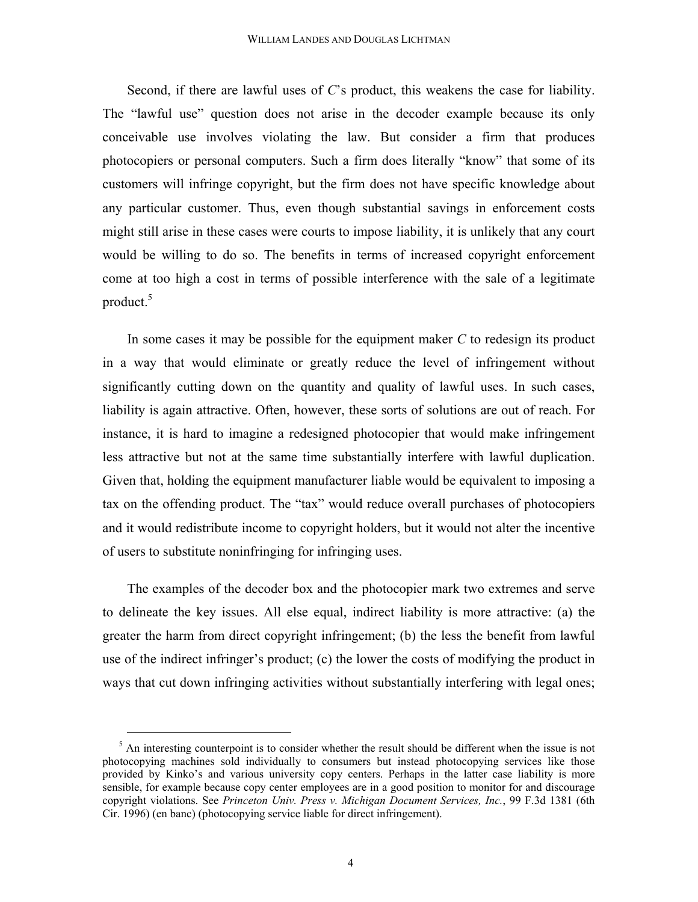Second, if there are lawful uses of *C*'s product, this weakens the case for liability. The "lawful use" question does not arise in the decoder example because its only conceivable use involves violating the law. But consider a firm that produces photocopiers or personal computers. Such a firm does literally "know" that some of its customers will infringe copyright, but the firm does not have specific knowledge about any particular customer. Thus, even though substantial savings in enforcement costs might still arise in these cases were courts to impose liability, it is unlikely that any court would be willing to do so. The benefits in terms of increased copyright enforcement come at too high a cost in terms of possible interference with the sale of a legitimate product.<sup>[5](#page-6-0)</sup>

In some cases it may be possible for the equipment maker *C* to redesign its product in a way that would eliminate or greatly reduce the level of infringement without significantly cutting down on the quantity and quality of lawful uses. In such cases, liability is again attractive. Often, however, these sorts of solutions are out of reach. For instance, it is hard to imagine a redesigned photocopier that would make infringement less attractive but not at the same time substantially interfere with lawful duplication. Given that, holding the equipment manufacturer liable would be equivalent to imposing a tax on the offending product. The "tax" would reduce overall purchases of photocopiers and it would redistribute income to copyright holders, but it would not alter the incentive of users to substitute noninfringing for infringing uses.

The examples of the decoder box and the photocopier mark two extremes and serve to delineate the key issues. All else equal, indirect liability is more attractive: (a) the greater the harm from direct copyright infringement; (b) the less the benefit from lawful use of the indirect infringer's product; (c) the lower the costs of modifying the product in ways that cut down infringing activities without substantially interfering with legal ones;

<span id="page-6-0"></span> $<sup>5</sup>$  An interesting counterpoint is to consider whether the result should be different when the issue is not</sup> photocopying machines sold individually to consumers but instead photocopying services like those provided by Kinko's and various university copy centers. Perhaps in the latter case liability is more sensible, for example because copy center employees are in a good position to monitor for and discourage copyright violations. See *Princeton Univ. Press v. Michigan Document Services, Inc.*, 99 F.3d 1381 (6th Cir. 1996) (en banc) (photocopying service liable for direct infringement).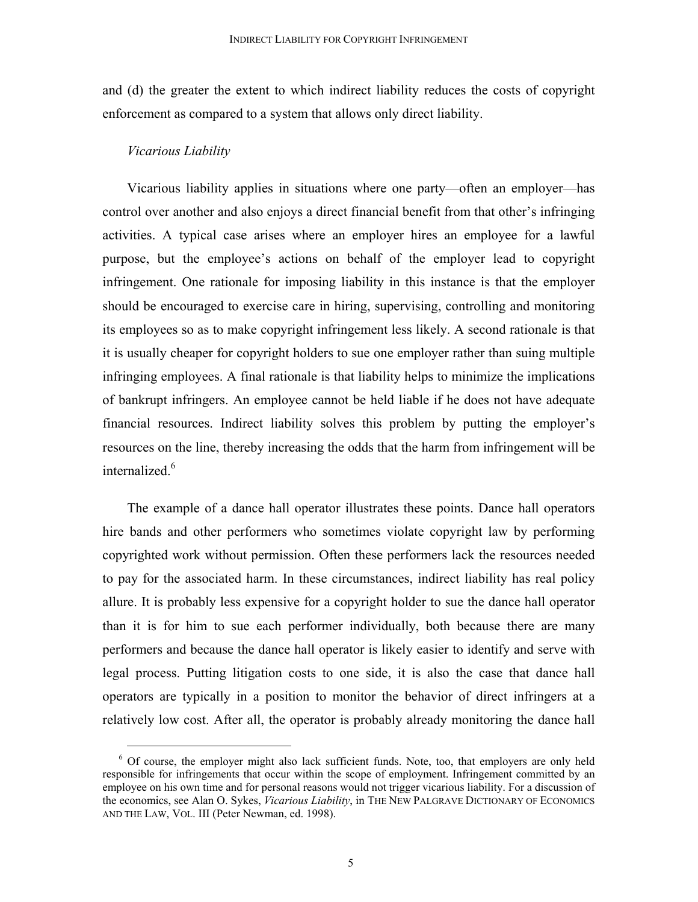and (d) the greater the extent to which indirect liability reduces the costs of copyright enforcement as compared to a system that allows only direct liability.

#### *Vicarious Liability*

<span id="page-7-0"></span> $\overline{a}$ 

Vicarious liability applies in situations where one party—often an employer—has control over another and also enjoys a direct financial benefit from that other's infringing activities. A typical case arises where an employer hires an employee for a lawful purpose, but the employee's actions on behalf of the employer lead to copyright infringement. One rationale for imposing liability in this instance is that the employer should be encouraged to exercise care in hiring, supervising, controlling and monitoring its employees so as to make copyright infringement less likely. A second rationale is that it is usually cheaper for copyright holders to sue one employer rather than suing multiple infringing employees. A final rationale is that liability helps to minimize the implications of bankrupt infringers. An employee cannot be held liable if he does not have adequate financial resources. Indirect liability solves this problem by putting the employer's resources on the line, thereby increasing the odds that the harm from infringement will be internalized.<sup>[6](#page-7-0)</sup>

The example of a dance hall operator illustrates these points. Dance hall operators hire bands and other performers who sometimes violate copyright law by performing copyrighted work without permission. Often these performers lack the resources needed to pay for the associated harm. In these circumstances, indirect liability has real policy allure. It is probably less expensive for a copyright holder to sue the dance hall operator than it is for him to sue each performer individually, both because there are many performers and because the dance hall operator is likely easier to identify and serve with legal process. Putting litigation costs to one side, it is also the case that dance hall operators are typically in a position to monitor the behavior of direct infringers at a relatively low cost. After all, the operator is probably already monitoring the dance hall

<sup>&</sup>lt;sup>6</sup> Of course, the employer might also lack sufficient funds. Note, too, that employers are only held responsible for infringements that occur within the scope of employment. Infringement committed by an employee on his own time and for personal reasons would not trigger vicarious liability. For a discussion of the economics, see Alan O. Sykes, *Vicarious Liability*, in THE NEW PALGRAVE DICTIONARY OF ECONOMICS AND THE LAW, VOL. III (Peter Newman, ed. 1998).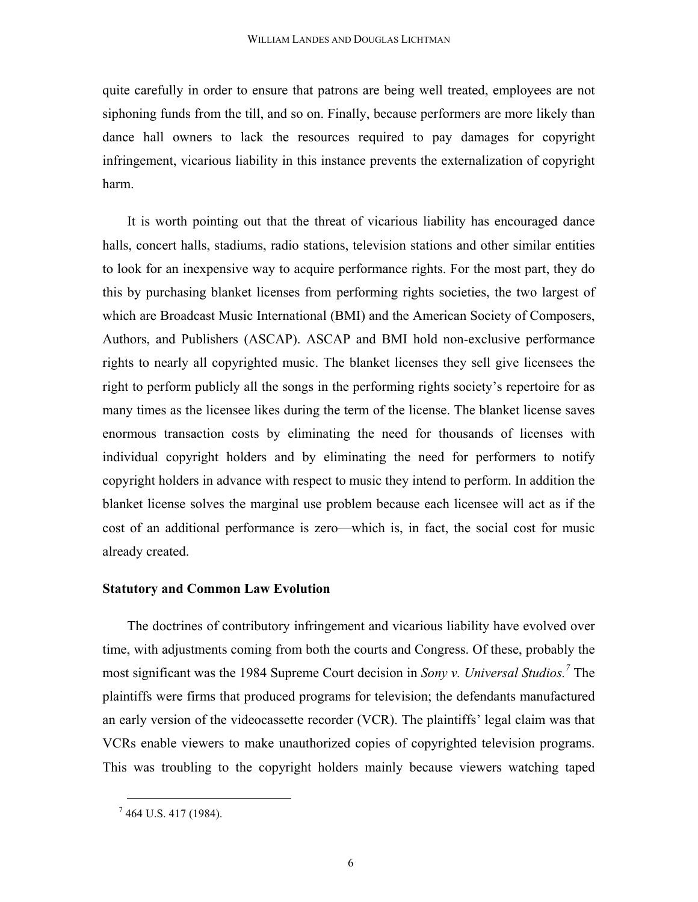quite carefully in order to ensure that patrons are being well treated, employees are not siphoning funds from the till, and so on. Finally, because performers are more likely than dance hall owners to lack the resources required to pay damages for copyright infringement, vicarious liability in this instance prevents the externalization of copyright harm.

It is worth pointing out that the threat of vicarious liability has encouraged dance halls, concert halls, stadiums, radio stations, television stations and other similar entities to look for an inexpensive way to acquire performance rights. For the most part, they do this by purchasing blanket licenses from performing rights societies, the two largest of which are Broadcast Music International (BMI) and the American Society of Composers, Authors, and Publishers (ASCAP). ASCAP and BMI hold non-exclusive performance rights to nearly all copyrighted music. The blanket licenses they sell give licensees the right to perform publicly all the songs in the performing rights society's repertoire for as many times as the licensee likes during the term of the license. The blanket license saves enormous transaction costs by eliminating the need for thousands of licenses with individual copyright holders and by eliminating the need for performers to notify copyright holders in advance with respect to music they intend to perform. In addition the blanket license solves the marginal use problem because each licensee will act as if the cost of an additional performance is zero—which is, in fact, the social cost for music already created.

#### **Statutory and Common Law Evolution**

The doctrines of contributory infringement and vicarious liability have evolved over time, with adjustments coming from both the courts and Congress. Of these, probably the most significant was the 1984 Supreme Court decision in *Sony v. Universal Studios.[7](#page-8-0)* The plaintiffs were firms that produced programs for television; the defendants manufactured an early version of the videocassette recorder (VCR). The plaintiffs' legal claim was that VCRs enable viewers to make unauthorized copies of copyrighted television programs. This was troubling to the copyright holders mainly because viewers watching taped

<span id="page-8-0"></span> $7$  464 U.S. 417 (1984).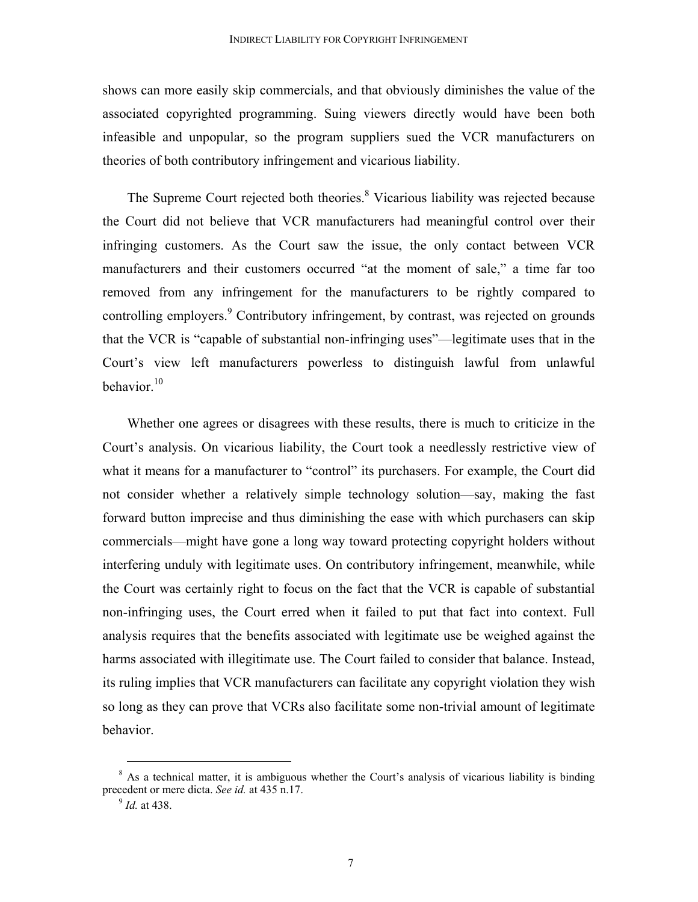shows can more easily skip commercials, and that obviously diminishes the value of the associated copyrighted programming. Suing viewers directly would have been both infeasible and unpopular, so the program suppliers sued the VCR manufacturers on theories of both contributory infringement and vicarious liability.

The Supreme Court rejected both theories.<sup>8</sup> Vicarious liability was rejected because the Court did not believe that VCR manufacturers had meaningful control over their infringing customers. As the Court saw the issue, the only contact between VCR manufacturers and their customers occurred "at the moment of sale," a time far too removed from any infringement for the manufacturers to be rightly compared to controlling employers.<sup>[9](#page-9-1)</sup> Contributory infringement, by contrast, was rejected on grounds that the VCR is "capable of substantial non-infringing uses"—legitimate uses that in the Court's view left manufacturers powerless to distinguish lawful from unlawful behavior.<sup>10</sup>

Whether one agrees or disagrees with these results, there is much to criticize in the Court's analysis. On vicarious liability, the Court took a needlessly restrictive view of what it means for a manufacturer to "control" its purchasers. For example, the Court did not consider whether a relatively simple technology solution—say, making the fast forward button imprecise and thus diminishing the ease with which purchasers can skip commercials—might have gone a long way toward protecting copyright holders without interfering unduly with legitimate uses. On contributory infringement, meanwhile, while the Court was certainly right to focus on the fact that the VCR is capable of substantial non-infringing uses, the Court erred when it failed to put that fact into context. Full analysis requires that the benefits associated with legitimate use be weighed against the harms associated with illegitimate use. The Court failed to consider that balance. Instead, its ruling implies that VCR manufacturers can facilitate any copyright violation they wish so long as they can prove that VCRs also facilitate some non-trivial amount of legitimate behavior.

<span id="page-9-2"></span><span id="page-9-0"></span><sup>&</sup>lt;sup>8</sup> As a technical matter, it is ambiguous whether the Court's analysis of vicarious liability is binding precedent or mere dicta. *See id.* at 435 n.17.<br><sup>9</sup> *Id.* at 438.

<span id="page-9-1"></span>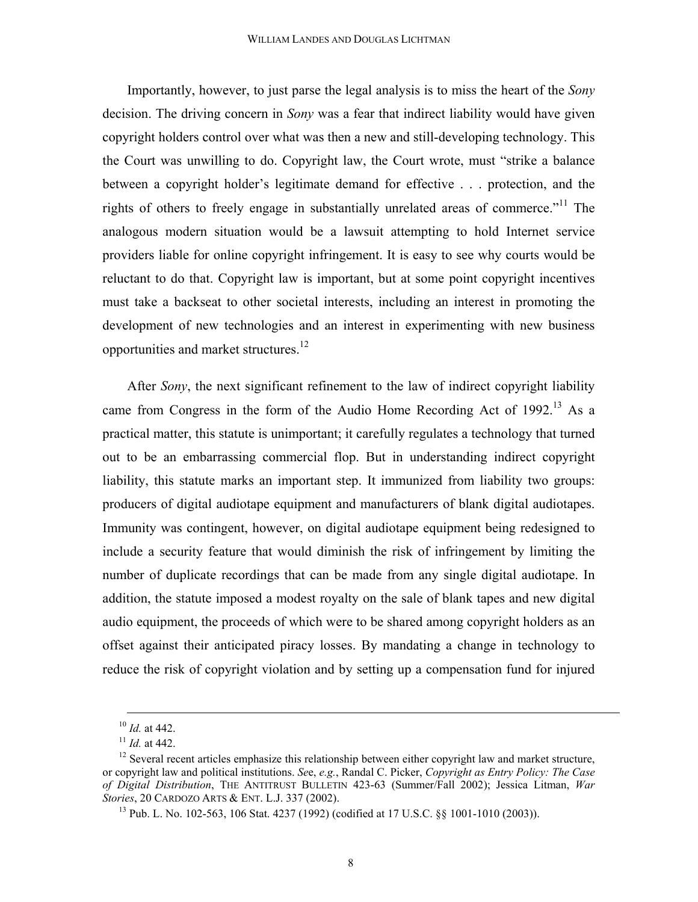Importantly, however, to just parse the legal analysis is to miss the heart of the *Sony* decision. The driving concern in *Sony* was a fear that indirect liability would have given copyright holders control over what was then a new and still-developing technology. This the Court was unwilling to do. Copyright law, the Court wrote, must "strike a balance between a copyright holder's legitimate demand for effective . . . protection, and the rights of others to freely engage in substantially unrelated areas of commerce."<sup>11</sup> The analogous modern situation would be a lawsuit attempting to hold Internet service providers liable for online copyright infringement. It is easy to see why courts would be reluctant to do that. Copyright law is important, but at some point copyright incentives must take a backseat to other societal interests, including an interest in promoting the development of new technologies and an interest in experimenting with new business opportunities and market structures.<sup>12</sup>

After *Sony*, the next significant refinement to the law of indirect copyright liability came from Congress in the form of the Audio Home Recording Act of 1992.<sup>13</sup> As a practical matter, this statute is unimportant; it carefully regulates a technology that turned out to be an embarrassing commercial flop. But in understanding indirect copyright liability, this statute marks an important step. It immunized from liability two groups: producers of digital audiotape equipment and manufacturers of blank digital audiotapes. Immunity was contingent, however, on digital audiotape equipment being redesigned to include a security feature that would diminish the risk of infringement by limiting the number of duplicate recordings that can be made from any single digital audiotape. In addition, the statute imposed a modest royalty on the sale of blank tapes and new digital audio equipment, the proceeds of which were to be shared among copyright holders as an offset against their anticipated piracy losses. By mandating a change in technology to reduce the risk of copyright violation and by setting up a compensation fund for injured

<span id="page-10-1"></span><span id="page-10-0"></span>

<sup>&</sup>lt;sup>10</sup> *Id.* at 442.<br><sup>11</sup> *Id.* at 442.<br><sup>12</sup> Several recent articles emphasize this relationship between either copyright law and market structure, or copyright law and political institutions. *Se*e, *e.g.*, Randal C. Picker, *Copyright as Entry Policy: The Case of Digital Distribution*, THE ANTITRUST BULLETIN 423-63 (Summer/Fall 2002); Jessica Litman, *War* 

<span id="page-10-2"></span><sup>&</sup>lt;sup>13</sup> Pub. L. No. 102-563, 106 Stat. 4237 (1992) (codified at 17 U.S.C. §§ 1001-1010 (2003)).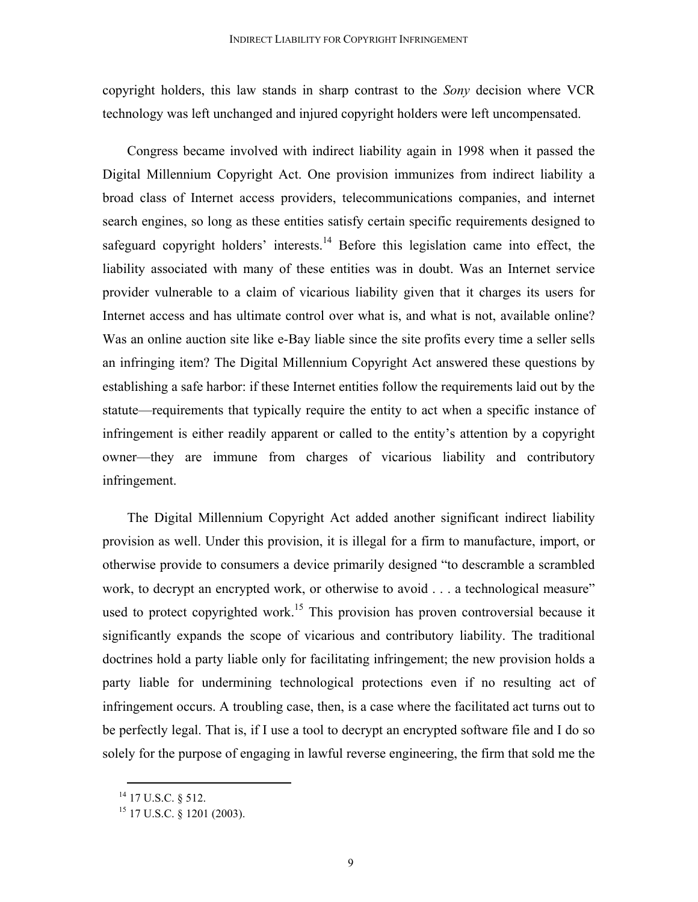copyright holders, this law stands in sharp contrast to the *Sony* decision where VCR technology was left unchanged and injured copyright holders were left uncompensated.

Congress became involved with indirect liability again in 1998 when it passed the Digital Millennium Copyright Act. One provision immunizes from indirect liability a broad class of Internet access providers, telecommunications companies, and internet search engines, so long as these entities satisfy certain specific requirements designed to safeguard copyright holders' interests.<sup>14</sup> Before this legislation came into effect, the liability associated with many of these entities was in doubt. Was an Internet service provider vulnerable to a claim of vicarious liability given that it charges its users for Internet access and has ultimate control over what is, and what is not, available online? Was an online auction site like e-Bay liable since the site profits every time a seller sells an infringing item? The Digital Millennium Copyright Act answered these questions by establishing a safe harbor: if these Internet entities follow the requirements laid out by the statute—requirements that typically require the entity to act when a specific instance of infringement is either readily apparent or called to the entity's attention by a copyright owner—they are immune from charges of vicarious liability and contributory infringement.

The Digital Millennium Copyright Act added another significant indirect liability provision as well. Under this provision, it is illegal for a firm to manufacture, import, or otherwise provide to consumers a device primarily designed "to descramble a scrambled work, to decrypt an encrypted work, or otherwise to avoid . . . a technological measure" used to protect copyrighted work.<sup>15</sup> This provision has proven controversial because it significantly expands the scope of vicarious and contributory liability. The traditional doctrines hold a party liable only for facilitating infringement; the new provision holds a party liable for undermining technological protections even if no resulting act of infringement occurs. A troubling case, then, is a case where the facilitated act turns out to be perfectly legal. That is, if I use a tool to decrypt an encrypted software file and I do so solely for the purpose of engaging in lawful reverse engineering, the firm that sold me the

<span id="page-11-1"></span><span id="page-11-0"></span>

<sup>&</sup>lt;sup>14</sup> 17 U.S.C. § 512.<br><sup>15</sup> 17 U.S.C. § 1201 (2003).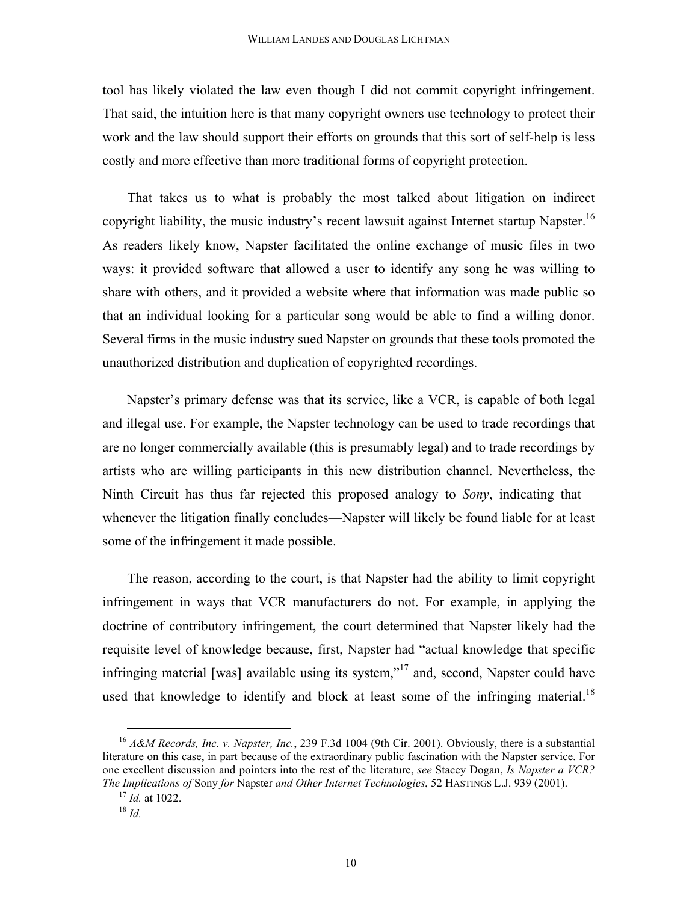tool has likely violated the law even though I did not commit copyright infringement. That said, the intuition here is that many copyright owners use technology to protect their work and the law should support their efforts on grounds that this sort of self-help is less costly and more effective than more traditional forms of copyright protection.

That takes us to what is probably the most talked about litigation on indirect copyright liability, the music industry's recent lawsuit against Internet startup Napster.<sup>16</sup> As readers likely know, Napster facilitated the online exchange of music files in two ways: it provided software that allowed a user to identify any song he was willing to share with others, and it provided a website where that information was made public so that an individual looking for a particular song would be able to find a willing donor. Several firms in the music industry sued Napster on grounds that these tools promoted the unauthorized distribution and duplication of copyrighted recordings.

Napster's primary defense was that its service, like a VCR, is capable of both legal and illegal use. For example, the Napster technology can be used to trade recordings that are no longer commercially available (this is presumably legal) and to trade recordings by artists who are willing participants in this new distribution channel. Nevertheless, the Ninth Circuit has thus far rejected this proposed analogy to *Sony*, indicating that whenever the litigation finally concludes—Napster will likely be found liable for at least some of the infringement it made possible.

The reason, according to the court, is that Napster had the ability to limit copyright infringement in ways that VCR manufacturers do not. For example, in applying the doctrine of contributory infringement, the court determined that Napster likely had the requisite level of knowledge because, first, Napster had "actual knowledge that specific infringing material [was] available using its system,"<sup>17</sup> and, second, Napster could have used that knowledge to identify and block at least some of the infringing material.<sup>18</sup>

<span id="page-12-0"></span><sup>16</sup> *A&M Records, Inc. v. Napster, Inc.*, 239 F.3d 1004 (9th Cir. 2001). Obviously, there is a substantial literature on this case, in part because of the extraordinary public fascination with the Napster service. For one excellent discussion and pointers into the rest of the literature, *see* Stacey Dogan, *Is Napster a VCR? The Implications of* Sony *for* Napster *and Other Internet Technologies*, 52 HASTINGS L.J. 939 (2001).<br><sup>17</sup> *Id.* at 1022.<br><sup>18</sup> *Id* 

<span id="page-12-1"></span>

<span id="page-12-2"></span>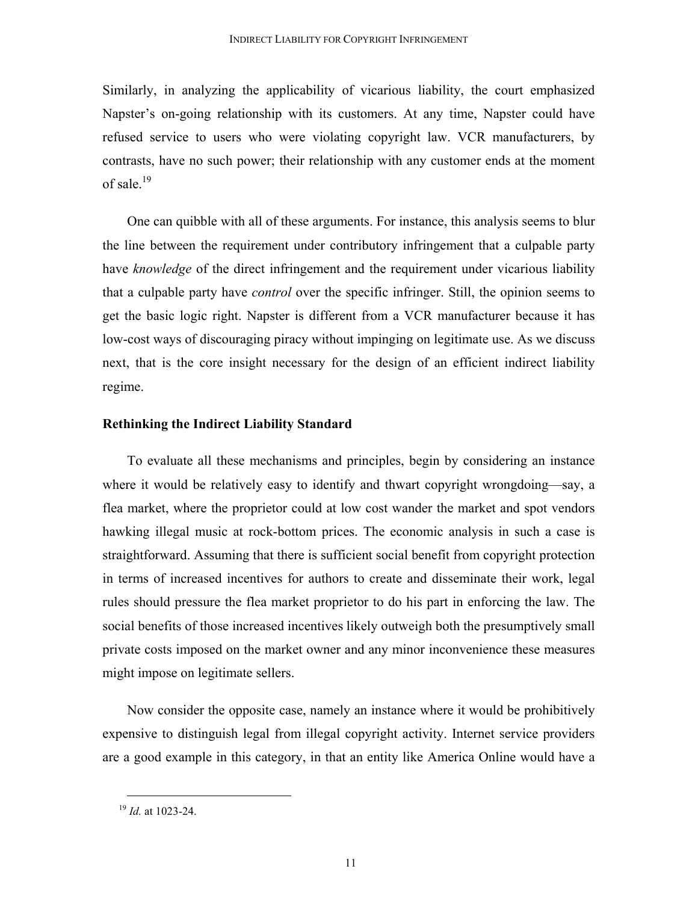Similarly, in analyzing the applicability of vicarious liability, the court emphasized Napster's on-going relationship with its customers. At any time, Napster could have refused service to users who were violating copyright law. VCR manufacturers, by contrasts, have no such power; their relationship with any customer ends at the moment of sale $^{19}$  $^{19}$  $^{19}$ 

One can quibble with all of these arguments. For instance, this analysis seems to blur the line between the requirement under contributory infringement that a culpable party have *knowledge* of the direct infringement and the requirement under vicarious liability that a culpable party have *control* over the specific infringer. Still, the opinion seems to get the basic logic right. Napster is different from a VCR manufacturer because it has low-cost ways of discouraging piracy without impinging on legitimate use. As we discuss next, that is the core insight necessary for the design of an efficient indirect liability regime.

#### **Rethinking the Indirect Liability Standard**

To evaluate all these mechanisms and principles, begin by considering an instance where it would be relatively easy to identify and thwart copyright wrongdoing—say, a flea market, where the proprietor could at low cost wander the market and spot vendors hawking illegal music at rock-bottom prices. The economic analysis in such a case is straightforward. Assuming that there is sufficient social benefit from copyright protection in terms of increased incentives for authors to create and disseminate their work, legal rules should pressure the flea market proprietor to do his part in enforcing the law. The social benefits of those increased incentives likely outweigh both the presumptively small private costs imposed on the market owner and any minor inconvenience these measures might impose on legitimate sellers.

Now consider the opposite case, namely an instance where it would be prohibitively expensive to distinguish legal from illegal copyright activity. Internet service providers are a good example in this category, in that an entity like America Online would have a

<span id="page-13-0"></span><sup>19</sup> *Id.* at 1023-24.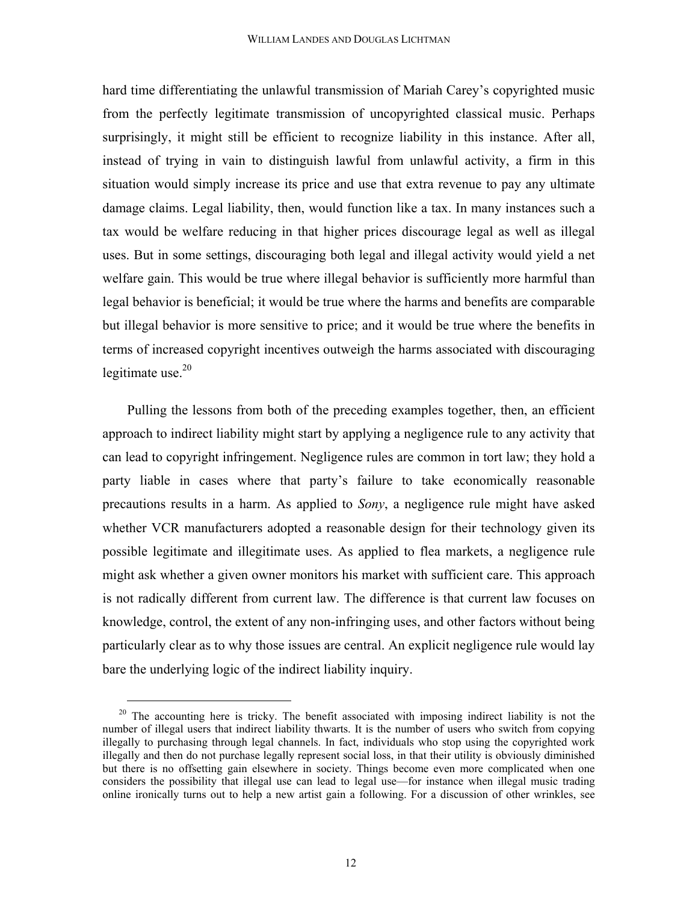<span id="page-14-0"></span>hard time differentiating the unlawful transmission of Mariah Carey's copyrighted music from the perfectly legitimate transmission of uncopyrighted classical music. Perhaps surprisingly, it might still be efficient to recognize liability in this instance. After all, instead of trying in vain to distinguish lawful from unlawful activity, a firm in this situation would simply increase its price and use that extra revenue to pay any ultimate damage claims. Legal liability, then, would function like a tax. In many instances such a tax would be welfare reducing in that higher prices discourage legal as well as illegal uses. But in some settings, discouraging both legal and illegal activity would yield a net welfare gain. This would be true where illegal behavior is sufficiently more harmful than legal behavior is beneficial; it would be true where the harms and benefits are comparable but illegal behavior is more sensitive to price; and it would be true where the benefits in terms of increased copyright incentives outweigh the harms associated with discouraging legitimate use. $20$ 

Pulling the lessons from both of the preceding examples together, then, an efficient approach to indirect liability might start by applying a negligence rule to any activity that can lead to copyright infringement. Negligence rules are common in tort law; they hold a party liable in cases where that party's failure to take economically reasonable precautions results in a harm. As applied to *Sony*, a negligence rule might have asked whether VCR manufacturers adopted a reasonable design for their technology given its possible legitimate and illegitimate uses. As applied to flea markets, a negligence rule might ask whether a given owner monitors his market with sufficient care. This approach is not radically different from current law. The difference is that current law focuses on knowledge, control, the extent of any non-infringing uses, and other factors without being particularly clear as to why those issues are central. An explicit negligence rule would lay bare the underlying logic of the indirect liability inquiry.

<sup>&</sup>lt;sup>20</sup> The accounting here is tricky. The benefit associated with imposing indirect liability is not the number of illegal users that indirect liability thwarts. It is the number of users who switch from copying illegally to purchasing through legal channels. In fact, individuals who stop using the copyrighted work illegally and then do not purchase legally represent social loss, in that their utility is obviously diminished but there is no offsetting gain elsewhere in society. Things become even more complicated when one considers the possibility that illegal use can lead to legal use—for instance when illegal music trading online ironically turns out to help a new artist gain a following. For a discussion of other wrinkles, see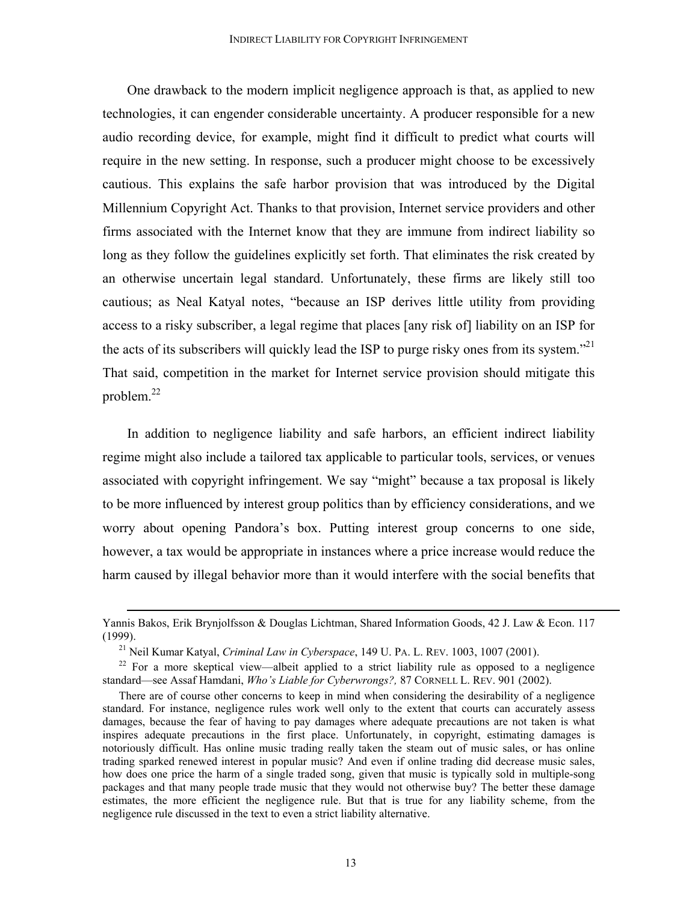One drawback to the modern implicit negligence approach is that, as applied to new technologies, it can engender considerable uncertainty. A producer responsible for a new audio recording device, for example, might find it difficult to predict what courts will require in the new setting. In response, such a producer might choose to be excessively cautious. This explains the safe harbor provision that was introduced by the Digital Millennium Copyright Act. Thanks to that provision, Internet service providers and other firms associated with the Internet know that they are immune from indirect liability so long as they follow the guidelines explicitly set forth. That eliminates the risk created by an otherwise uncertain legal standard. Unfortunately, these firms are likely still too cautious; as Neal Katyal notes, "because an ISP derives little utility from providing access to a risky subscriber, a legal regime that places [any risk of] liability on an ISP for the acts of its subscribers will quickly lead the ISP to purge risky ones from its system."<sup>21</sup> That said, competition in the market for Internet service provision should mitigate this problem. [22](#page-15-1) 

In addition to negligence liability and safe harbors, an efficient indirect liability regime might also include a tailored tax applicable to particular tools, services, or venues associated with copyright infringement. We say "might" because a tax proposal is likely to be more influenced by interest group politics than by efficiency considerations, and we worry about opening Pandora's box. Putting interest group concerns to one side, however, a tax would be appropriate in instances where a price increase would reduce the harm caused by illegal behavior more than it would interfere with the social benefits that

Yannis Bakos, Erik Brynjolfsson & Douglas Lichtman, Shared Information Goods, 42 J. Law & Econ. 117 (1999). 21 Neil Kumar Katyal, *Criminal Law in Cyberspace*, 149 U. PA. L. REV. 1003, 1007 (2001). 22 For a more skeptical view—albeit applied to a strict liability rule as opposed to a negligence

<span id="page-15-1"></span><span id="page-15-0"></span>

standard—see Assaf Hamdani, *Who's Liable for Cyberwrongs?,* 87 CORNELL L. REV. 901 (2002).

There are of course other concerns to keep in mind when considering the desirability of a negligence standard. For instance, negligence rules work well only to the extent that courts can accurately assess damages, because the fear of having to pay damages where adequate precautions are not taken is what inspires adequate precautions in the first place. Unfortunately, in copyright, estimating damages is notoriously difficult. Has online music trading really taken the steam out of music sales, or has online trading sparked renewed interest in popular music? And even if online trading did decrease music sales, how does one price the harm of a single traded song, given that music is typically sold in multiple-song packages and that many people trade music that they would not otherwise buy? The better these damage estimates, the more efficient the negligence rule. But that is true for any liability scheme, from the negligence rule discussed in the text to even a strict liability alternative.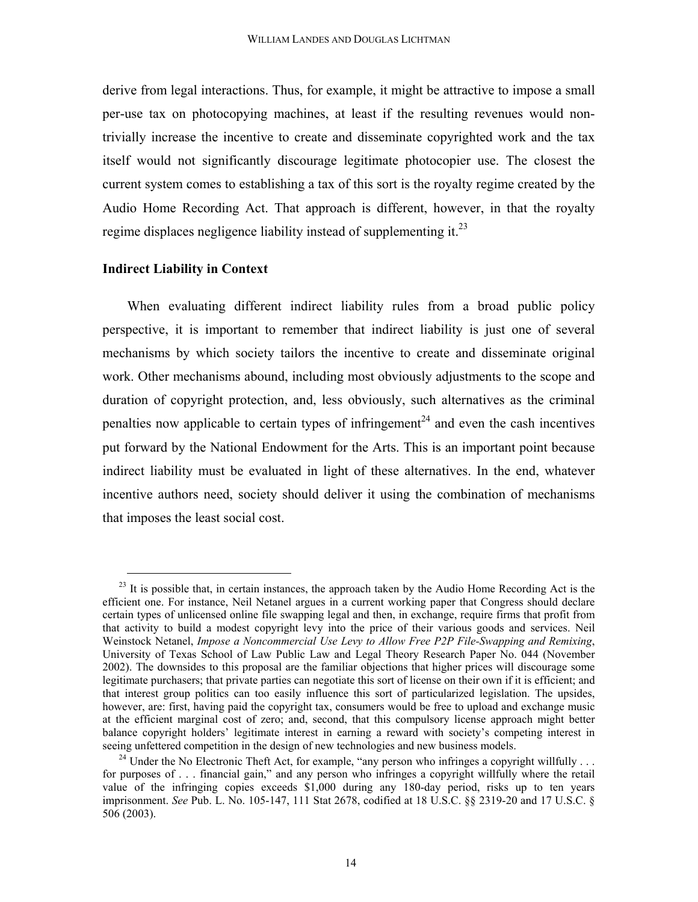derive from legal interactions. Thus, for example, it might be attractive to impose a small per-use tax on photocopying machines, at least if the resulting revenues would nontrivially increase the incentive to create and disseminate copyrighted work and the tax itself would not significantly discourage legitimate photocopier use. The closest the current system comes to establishing a tax of this sort is the royalty regime created by the Audio Home Recording Act. That approach is different, however, in that the royalty regime displaces negligence liability instead of supplementing it. $^{23}$ 

#### **Indirect Liability in Context**

<span id="page-16-0"></span> $\overline{a}$ 

When evaluating different indirect liability rules from a broad public policy perspective, it is important to remember that indirect liability is just one of several mechanisms by which society tailors the incentive to create and disseminate original work. Other mechanisms abound, including most obviously adjustments to the scope and duration of copyright protection, and, less obviously, such alternatives as the criminal penalties now applicable to certain types of infringement<sup>24</sup> and even the cash incentives put forward by the National Endowment for the Arts. This is an important point because indirect liability must be evaluated in light of these alternatives. In the end, whatever incentive authors need, society should deliver it using the combination of mechanisms that imposes the least social cost.

 $^{23}$  It is possible that, in certain instances, the approach taken by the Audio Home Recording Act is the efficient one. For instance, Neil Netanel argues in a current working paper that Congress should declare certain types of unlicensed online file swapping legal and then, in exchange, require firms that profit from that activity to build a modest copyright levy into the price of their various goods and services. Neil Weinstock Netanel, *Impose a Noncommercial Use Levy to Allow Free P2P File-Swapping and Remixing*, University of Texas School of Law Public Law and Legal Theory Research Paper No. 044 (November 2002). The downsides to this proposal are the familiar objections that higher prices will discourage some legitimate purchasers; that private parties can negotiate this sort of license on their own if it is efficient; and that interest group politics can too easily influence this sort of particularized legislation. The upsides, however, are: first, having paid the copyright tax, consumers would be free to upload and exchange music at the efficient marginal cost of zero; and, second, that this compulsory license approach might better balance copyright holders' legitimate interest in earning a reward with society's competing interest in seeing unfettered competition in the design of new technologies and new business models.<br><sup>24</sup> Under the No Electronic Theft Act, for example, "any person who infringes a copyright willfully . . .

<span id="page-16-1"></span>for purposes of . . . financial gain," and any person who infringes a copyright willfully where the retail value of the infringing copies exceeds \$1,000 during any 180-day period, risks up to ten years imprisonment. *See* Pub. L. No. 105-147, 111 Stat 2678, codified at 18 U.S.C. §§ 2319-20 and 17 U.S.C. § 506 (2003).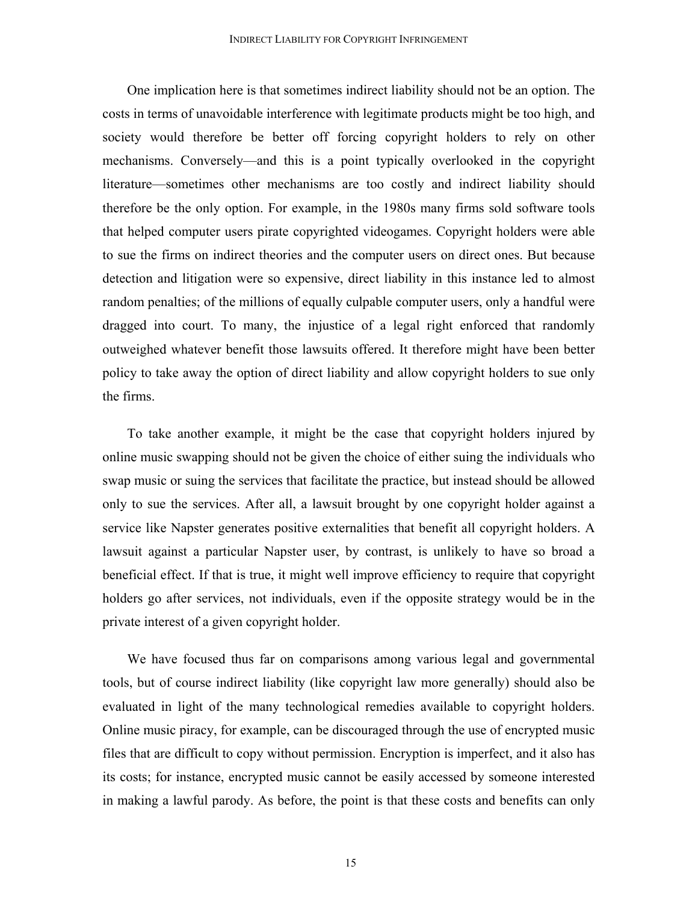One implication here is that sometimes indirect liability should not be an option. The costs in terms of unavoidable interference with legitimate products might be too high, and society would therefore be better off forcing copyright holders to rely on other mechanisms. Conversely—and this is a point typically overlooked in the copyright literature—sometimes other mechanisms are too costly and indirect liability should therefore be the only option. For example, in the 1980s many firms sold software tools that helped computer users pirate copyrighted videogames. Copyright holders were able to sue the firms on indirect theories and the computer users on direct ones. But because detection and litigation were so expensive, direct liability in this instance led to almost random penalties; of the millions of equally culpable computer users, only a handful were dragged into court. To many, the injustice of a legal right enforced that randomly outweighed whatever benefit those lawsuits offered. It therefore might have been better policy to take away the option of direct liability and allow copyright holders to sue only the firms.

To take another example, it might be the case that copyright holders injured by online music swapping should not be given the choice of either suing the individuals who swap music or suing the services that facilitate the practice, but instead should be allowed only to sue the services. After all, a lawsuit brought by one copyright holder against a service like Napster generates positive externalities that benefit all copyright holders. A lawsuit against a particular Napster user, by contrast, is unlikely to have so broad a beneficial effect. If that is true, it might well improve efficiency to require that copyright holders go after services, not individuals, even if the opposite strategy would be in the private interest of a given copyright holder.

We have focused thus far on comparisons among various legal and governmental tools, but of course indirect liability (like copyright law more generally) should also be evaluated in light of the many technological remedies available to copyright holders. Online music piracy, for example, can be discouraged through the use of encrypted music files that are difficult to copy without permission. Encryption is imperfect, and it also has its costs; for instance, encrypted music cannot be easily accessed by someone interested in making a lawful parody. As before, the point is that these costs and benefits can only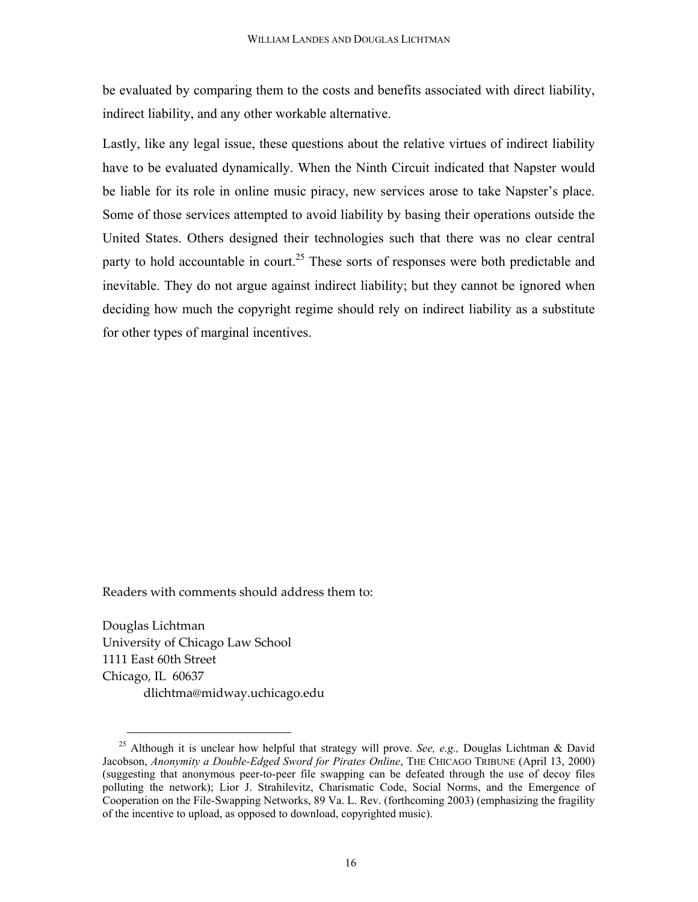be evaluated by comparing them to the costs and benefits associated with direct liability, indirect liability, and any other workable alternative.

Lastly, like any legal issue, these questions about the relative virtues of indirect liability have to be evaluated dynamically. When the Ninth Circuit indicated that Napster would be liable for its role in online music piracy, new services arose to take Napster's place. Some of those services attempted to avoid liability by basing their operations outside the United States. Others designed their technologies such that there was no clear central party to hold accountable in court.<sup>25</sup> These sorts of responses were both predictable and inevitable. They do not argue against indirect liability; but they cannot be ignored when deciding how much the copyright regime should rely on indirect liability as a substitute for other types of marginal incentives.

Readers with comments should address them to:

Douglas Lichtman University of Chicago Law School 1111 East 60th Street Chicago, IL 60637 dlichtma@midway.uchicago.edu

<span id="page-18-0"></span><sup>25</sup> Although it is unclear how helpful that strategy will prove. *See, e.g.,* Douglas Lichtman & David Jacobson, *Anonymity a Double-Edged Sword for Pirates Online*, THE CHICAGO TRIBUNE (April 13, 2000) (suggesting that anonymous peer-to-peer file swapping can be defeated through the use of decoy files polluting the network); Lior J. Strahilevitz, Charismatic Code, Social Norms, and the Emergence of Cooperation on the File-Swapping Networks, 89 Va. L. Rev. (forthcoming 2003) (emphasizing the fragility of the incentive to upload, as opposed to download, copyrighted music).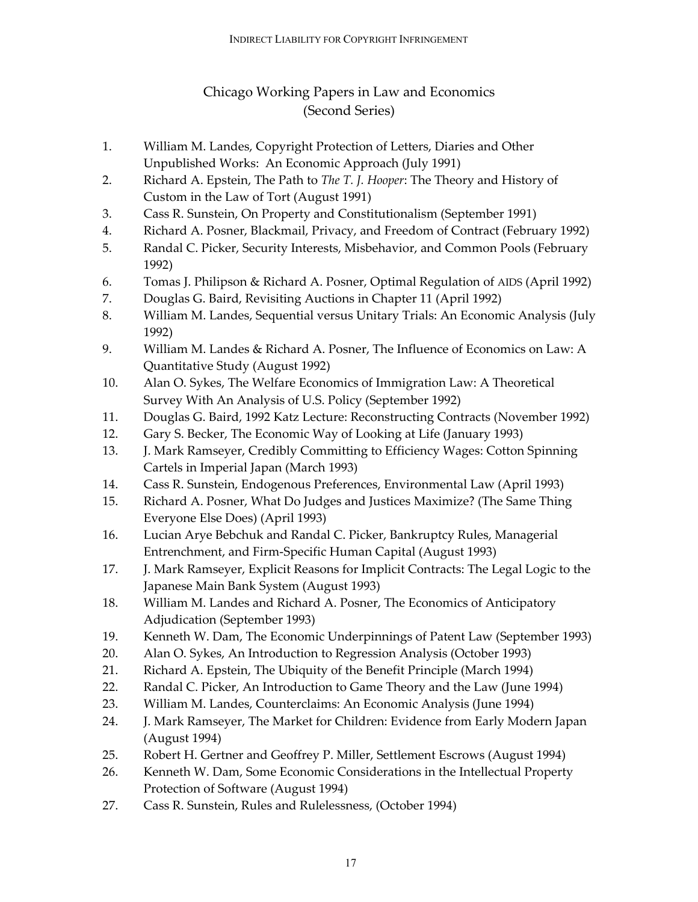## Chicago Working Papers in Law and Economics (Second Series)

- 1. William M. Landes, Copyright Protection of Letters, Diaries and Other Unpublished Works: An Economic Approach (July 1991)
- 2. Richard A. Epstein, The Path to *The T. J. Hooper*: The Theory and History of Custom in the Law of Tort (August 1991)
- 3. Cass R. Sunstein, On Property and Constitutionalism (September 1991)
- 4. Richard A. Posner, Blackmail, Privacy, and Freedom of Contract (February 1992)
- 5. Randal C. Picker, Security Interests, Misbehavior, and Common Pools (February 1992)
- 6. Tomas J. Philipson & Richard A. Posner, Optimal Regulation of AIDS (April 1992)
- 7. Douglas G. Baird, Revisiting Auctions in Chapter 11 (April 1992)
- 8. William M. Landes, Sequential versus Unitary Trials: An Economic Analysis (July 1992)
- 9. William M. Landes & Richard A. Posner, The Influence of Economics on Law: A Quantitative Study (August 1992)
- 10. Alan O. Sykes, The Welfare Economics of Immigration Law: A Theoretical Survey With An Analysis of U.S. Policy (September 1992)
- 11. Douglas G. Baird, 1992 Katz Lecture: Reconstructing Contracts (November 1992)
- 12. Gary S. Becker, The Economic Way of Looking at Life (January 1993)
- 13. J. Mark Ramseyer, Credibly Committing to Efficiency Wages: Cotton Spinning Cartels in Imperial Japan (March 1993)
- 14. Cass R. Sunstein, Endogenous Preferences, Environmental Law (April 1993)
- 15. Richard A. Posner, What Do Judges and Justices Maximize? (The Same Thing Everyone Else Does) (April 1993)
- 16. Lucian Arye Bebchuk and Randal C. Picker, Bankruptcy Rules, Managerial Entrenchment, and Firm-Specific Human Capital (August 1993)
- 17. J. Mark Ramseyer, Explicit Reasons for Implicit Contracts: The Legal Logic to the Japanese Main Bank System (August 1993)
- 18. William M. Landes and Richard A. Posner, The Economics of Anticipatory Adjudication (September 1993)
- 19. Kenneth W. Dam, The Economic Underpinnings of Patent Law (September 1993)
- 20. Alan O. Sykes, An Introduction to Regression Analysis (October 1993)
- 21. Richard A. Epstein, The Ubiquity of the Benefit Principle (March 1994)
- 22. Randal C. Picker, An Introduction to Game Theory and the Law (June 1994)
- 23. William M. Landes, Counterclaims: An Economic Analysis (June 1994)
- 24. J. Mark Ramseyer, The Market for Children: Evidence from Early Modern Japan (August 1994)
- 25. Robert H. Gertner and Geoffrey P. Miller, Settlement Escrows (August 1994)
- 26. Kenneth W. Dam, Some Economic Considerations in the Intellectual Property Protection of Software (August 1994)
- 27. Cass R. Sunstein, Rules and Rulelessness, (October 1994)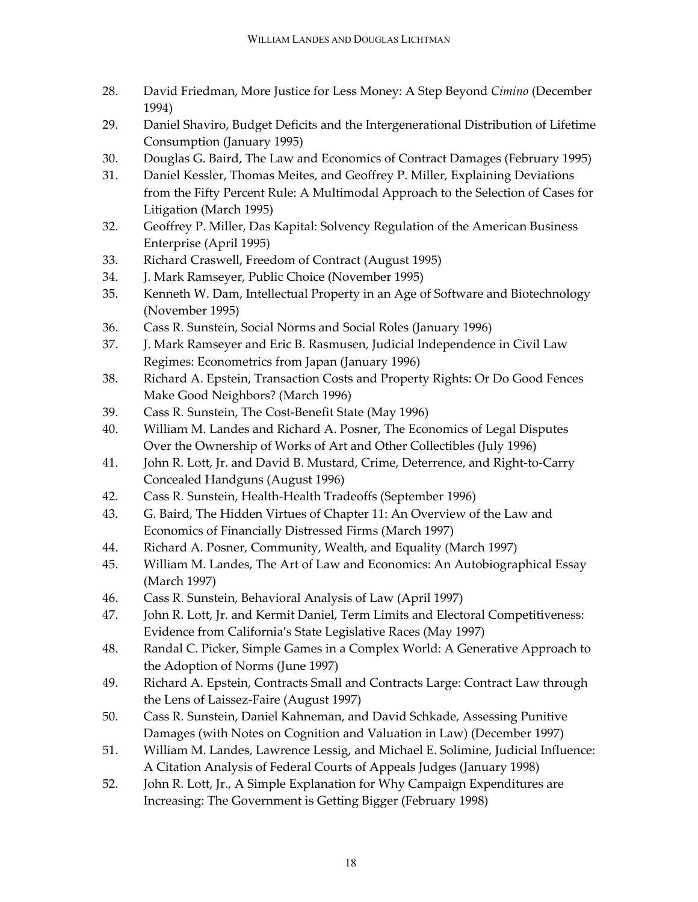- 28. David Friedman, More Justice for Less Money: A Step Beyond *Cimino* (December 1994)
- 29. Daniel Shaviro, Budget Deficits and the Intergenerational Distribution of Lifetime Consumption (January 1995)
- 30. Douglas G. Baird, The Law and Economics of Contract Damages (February 1995)
- 31. Daniel Kessler, Thomas Meites, and Geoffrey P. Miller, Explaining Deviations from the Fifty Percent Rule: A Multimodal Approach to the Selection of Cases for Litigation (March 1995)
- 32. Geoffrey P. Miller, Das Kapital: Solvency Regulation of the American Business Enterprise (April 1995)
- 33. Richard Craswell, Freedom of Contract (August 1995)
- 34. J. Mark Ramseyer, Public Choice (November 1995)
- 35. Kenneth W. Dam, Intellectual Property in an Age of Software and Biotechnology (November 1995)
- 36. Cass R. Sunstein, Social Norms and Social Roles (January 1996)
- 37. J. Mark Ramseyer and Eric B. Rasmusen, Judicial Independence in Civil Law Regimes: Econometrics from Japan (January 1996)
- 38. Richard A. Epstein, Transaction Costs and Property Rights: Or Do Good Fences Make Good Neighbors? (March 1996)
- 39. Cass R. Sunstein, The Cost-Benefit State (May 1996)
- 40. William M. Landes and Richard A. Posner, The Economics of Legal Disputes Over the Ownership of Works of Art and Other Collectibles (July 1996)
- 41. John R. Lott, Jr. and David B. Mustard, Crime, Deterrence, and Right-to-Carry Concealed Handguns (August 1996)
- 42. Cass R. Sunstein, Health-Health Tradeoffs (September 1996)
- 43. G. Baird, The Hidden Virtues of Chapter 11: An Overview of the Law and Economics of Financially Distressed Firms (March 1997)
- 44. Richard A. Posner, Community, Wealth, and Equality (March 1997)
- 45. William M. Landes, The Art of Law and Economics: An Autobiographical Essay (March 1997)
- 46. Cass R. Sunstein, Behavioral Analysis of Law (April 1997)
- 47. John R. Lott, Jr. and Kermit Daniel, Term Limits and Electoral Competitiveness: Evidence from California's State Legislative Races (May 1997)
- 48. Randal C. Picker, Simple Games in a Complex World: A Generative Approach to the Adoption of Norms (June 1997)
- 49. Richard A. Epstein, Contracts Small and Contracts Large: Contract Law through the Lens of Laissez-Faire (August 1997)
- 50. Cass R. Sunstein, Daniel Kahneman, and David Schkade, Assessing Punitive Damages (with Notes on Cognition and Valuation in Law) (December 1997)
- 51. William M. Landes, Lawrence Lessig, and Michael E. Solimine, Judicial Influence: A Citation Analysis of Federal Courts of Appeals Judges (January 1998)
- 52. John R. Lott, Jr., A Simple Explanation for Why Campaign Expenditures are Increasing: The Government is Getting Bigger (February 1998)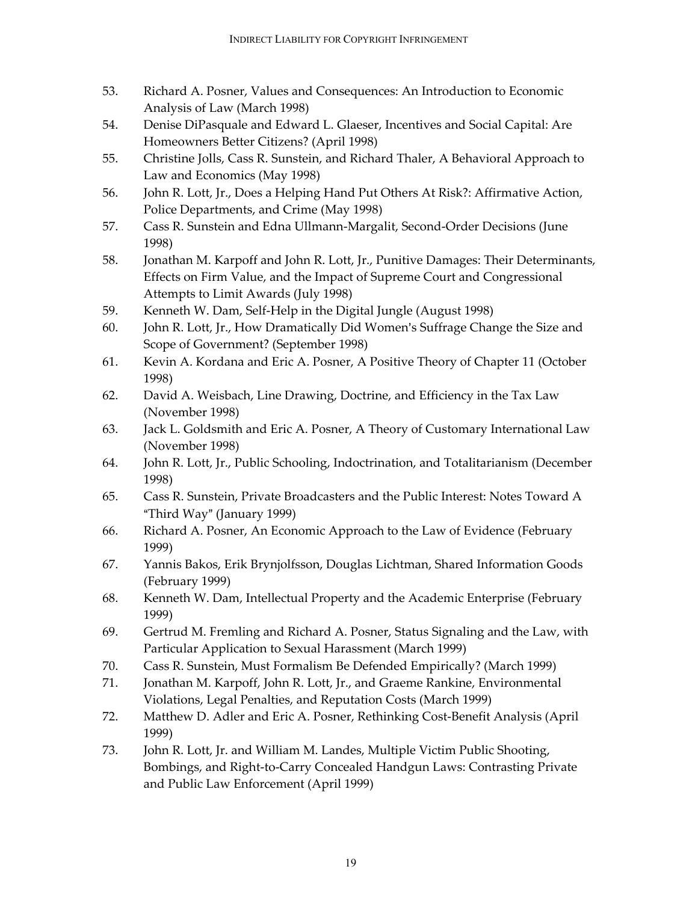- 53. Richard A. Posner, Values and Consequences: An Introduction to Economic Analysis of Law (March 1998)
- 54. Denise DiPasquale and Edward L. Glaeser, Incentives and Social Capital: Are Homeowners Better Citizens? (April 1998)
- 55. Christine Jolls, Cass R. Sunstein, and Richard Thaler, A Behavioral Approach to Law and Economics (May 1998)
- 56. John R. Lott, Jr., Does a Helping Hand Put Others At Risk?: Affirmative Action, Police Departments, and Crime (May 1998)
- 57. Cass R. Sunstein and Edna Ullmann-Margalit, Second-Order Decisions (June 1998)
- 58. Jonathan M. Karpoff and John R. Lott, Jr., Punitive Damages: Their Determinants, Effects on Firm Value, and the Impact of Supreme Court and Congressional Attempts to Limit Awards (July 1998)
- 59. Kenneth W. Dam, Self-Help in the Digital Jungle (August 1998)
- 60. John R. Lott, Jr., How Dramatically Did Women's Suffrage Change the Size and Scope of Government? (September 1998)
- 61. Kevin A. Kordana and Eric A. Posner, A Positive Theory of Chapter 11 (October 1998)
- 62. David A. Weisbach, Line Drawing, Doctrine, and Efficiency in the Tax Law (November 1998)
- 63. Jack L. Goldsmith and Eric A. Posner, A Theory of Customary International Law (November 1998)
- 64. John R. Lott, Jr., Public Schooling, Indoctrination, and Totalitarianism (December 1998)
- 65. Cass R. Sunstein, Private Broadcasters and the Public Interest: Notes Toward A "Third Way" (January 1999)
- 66. Richard A. Posner, An Economic Approach to the Law of Evidence (February 1999)
- 67. Yannis Bakos, Erik Brynjolfsson, Douglas Lichtman, Shared Information Goods (February 1999)
- 68. Kenneth W. Dam, Intellectual Property and the Academic Enterprise (February 1999)
- 69. Gertrud M. Fremling and Richard A. Posner, Status Signaling and the Law, with Particular Application to Sexual Harassment (March 1999)
- 70. Cass R. Sunstein, Must Formalism Be Defended Empirically? (March 1999)
- 71. Jonathan M. Karpoff, John R. Lott, Jr., and Graeme Rankine, Environmental Violations, Legal Penalties, and Reputation Costs (March 1999)
- 72. Matthew D. Adler and Eric A. Posner, Rethinking Cost-Benefit Analysis (April 1999)
- 73. John R. Lott, Jr. and William M. Landes, Multiple Victim Public Shooting, Bombings, and Right-to-Carry Concealed Handgun Laws: Contrasting Private and Public Law Enforcement (April 1999)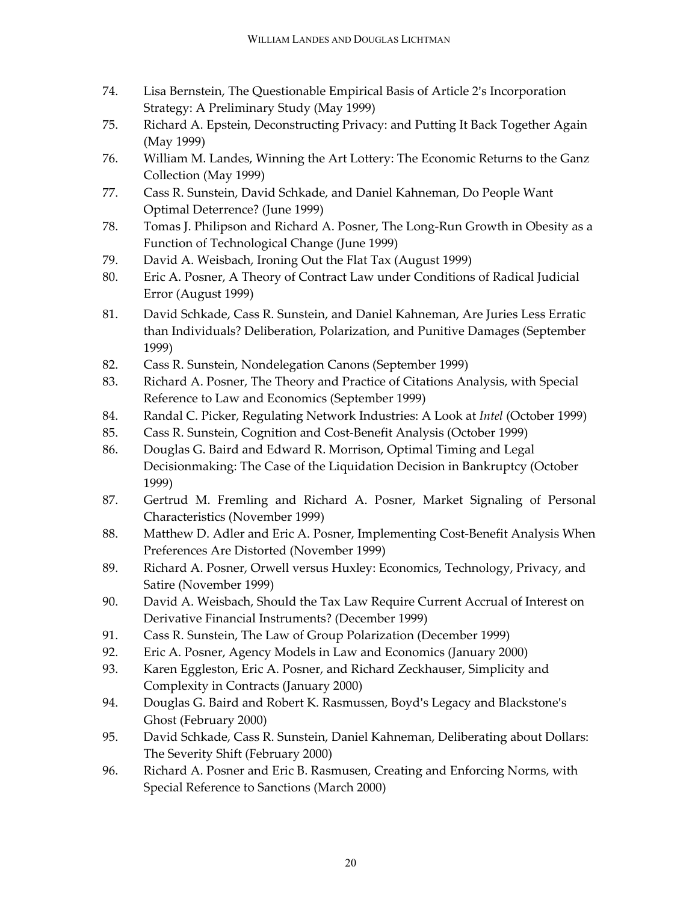- 74. Lisa Bernstein, The Questionable Empirical Basis of Article 2's Incorporation Strategy: A Preliminary Study (May 1999)
- 75. Richard A. Epstein, Deconstructing Privacy: and Putting It Back Together Again (May 1999)
- 76. William M. Landes, Winning the Art Lottery: The Economic Returns to the Ganz Collection (May 1999)
- 77. Cass R. Sunstein, David Schkade, and Daniel Kahneman, Do People Want Optimal Deterrence? (June 1999)
- 78. Tomas J. Philipson and Richard A. Posner, The Long-Run Growth in Obesity as a Function of Technological Change (June 1999)
- 79. David A. Weisbach, Ironing Out the Flat Tax (August 1999)
- 80. Eric A. Posner, A Theory of Contract Law under Conditions of Radical Judicial Error (August 1999)
- 81. David Schkade, Cass R. Sunstein, and Daniel Kahneman, Are Juries Less Erratic than Individuals? Deliberation, Polarization, and Punitive Damages (September 1999)
- 82. Cass R. Sunstein, Nondelegation Canons (September 1999)
- 83. Richard A. Posner, The Theory and Practice of Citations Analysis, with Special Reference to Law and Economics (September 1999)
- 84. Randal C. Picker, Regulating Network Industries: A Look at *Intel* (October 1999)
- 85. Cass R. Sunstein, Cognition and Cost-Benefit Analysis (October 1999)
- 86. Douglas G. Baird and Edward R. Morrison, Optimal Timing and Legal Decisionmaking: The Case of the Liquidation Decision in Bankruptcy (October 1999)
- 87. Gertrud M. Fremling and Richard A. Posner, Market Signaling of Personal Characteristics (November 1999)
- 88. Matthew D. Adler and Eric A. Posner, Implementing Cost-Benefit Analysis When Preferences Are Distorted (November 1999)
- 89. Richard A. Posner, Orwell versus Huxley: Economics, Technology, Privacy, and Satire (November 1999)
- 90. David A. Weisbach, Should the Tax Law Require Current Accrual of Interest on Derivative Financial Instruments? (December 1999)
- 91. Cass R. Sunstein, The Law of Group Polarization (December 1999)
- 92. Eric A. Posner, Agency Models in Law and Economics (January 2000)
- 93. Karen Eggleston, Eric A. Posner, and Richard Zeckhauser, Simplicity and Complexity in Contracts (January 2000)
- 94. Douglas G. Baird and Robert K. Rasmussen, Boyd's Legacy and Blackstone's Ghost (February 2000)
- 95. David Schkade, Cass R. Sunstein, Daniel Kahneman, Deliberating about Dollars: The Severity Shift (February 2000)
- 96. Richard A. Posner and Eric B. Rasmusen, Creating and Enforcing Norms, with Special Reference to Sanctions (March 2000)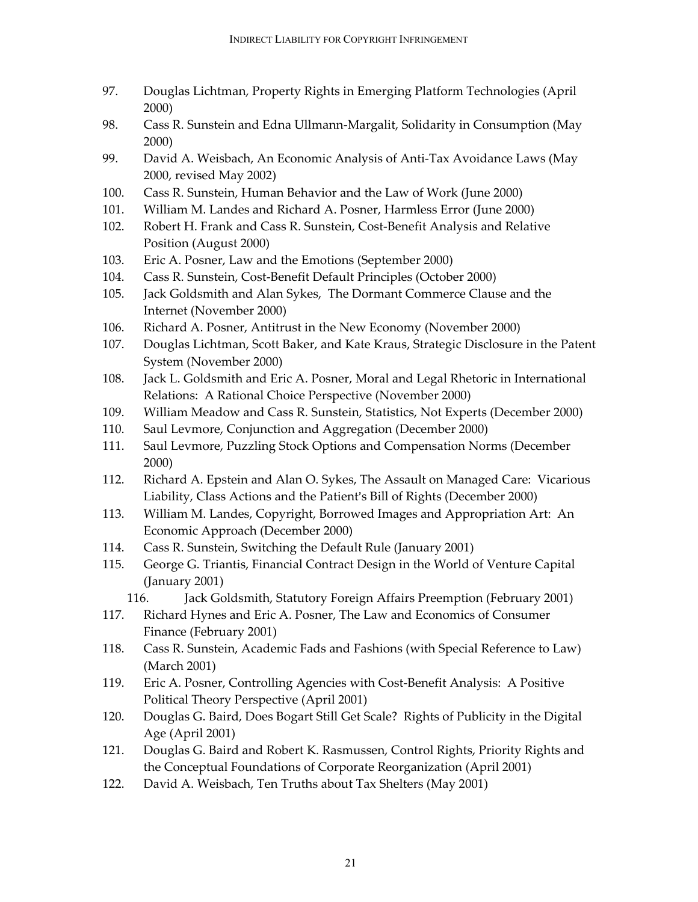- 97. Douglas Lichtman, Property Rights in Emerging Platform Technologies (April 2000)
- 98. Cass R. Sunstein and Edna Ullmann-Margalit, Solidarity in Consumption (May 2000)
- 99. David A. Weisbach, An Economic Analysis of Anti-Tax Avoidance Laws (May 2000, revised May 2002)
- 100. Cass R. Sunstein, Human Behavior and the Law of Work (June 2000)
- 101. William M. Landes and Richard A. Posner, Harmless Error (June 2000)
- 102. Robert H. Frank and Cass R. Sunstein, Cost-Benefit Analysis and Relative Position (August 2000)
- 103. Eric A. Posner, Law and the Emotions (September 2000)
- 104. Cass R. Sunstein, Cost-Benefit Default Principles (October 2000)
- 105. Jack Goldsmith and Alan Sykes, The Dormant Commerce Clause and the Internet (November 2000)
- 106. Richard A. Posner, Antitrust in the New Economy (November 2000)
- 107. Douglas Lichtman, Scott Baker, and Kate Kraus, Strategic Disclosure in the Patent System (November 2000)
- 108. Jack L. Goldsmith and Eric A. Posner, Moral and Legal Rhetoric in International Relations: A Rational Choice Perspective (November 2000)
- 109. William Meadow and Cass R. Sunstein, Statistics, Not Experts (December 2000)
- 110. Saul Levmore, Conjunction and Aggregation (December 2000)
- 111. Saul Levmore, Puzzling Stock Options and Compensation Norms (December 2000)
- 112. Richard A. Epstein and Alan O. Sykes, The Assault on Managed Care: Vicarious Liability, Class Actions and the Patient's Bill of Rights (December 2000)
- 113. William M. Landes, Copyright, Borrowed Images and Appropriation Art: An Economic Approach (December 2000)
- 114. Cass R. Sunstein, Switching the Default Rule (January 2001)
- 115. George G. Triantis, Financial Contract Design in the World of Venture Capital (January 2001)
	- 116. Jack Goldsmith, Statutory Foreign Affairs Preemption (February 2001)
- 117. Richard Hynes and Eric A. Posner, The Law and Economics of Consumer Finance (February 2001)
- 118. Cass R. Sunstein, Academic Fads and Fashions (with Special Reference to Law) (March 2001)
- 119. Eric A. Posner, Controlling Agencies with Cost-Benefit Analysis: A Positive Political Theory Perspective (April 2001)
- 120. Douglas G. Baird, Does Bogart Still Get Scale? Rights of Publicity in the Digital Age (April 2001)
- 121. Douglas G. Baird and Robert K. Rasmussen, Control Rights, Priority Rights and the Conceptual Foundations of Corporate Reorganization (April 2001)
- 122. David A. Weisbach, Ten Truths about Tax Shelters (May 2001)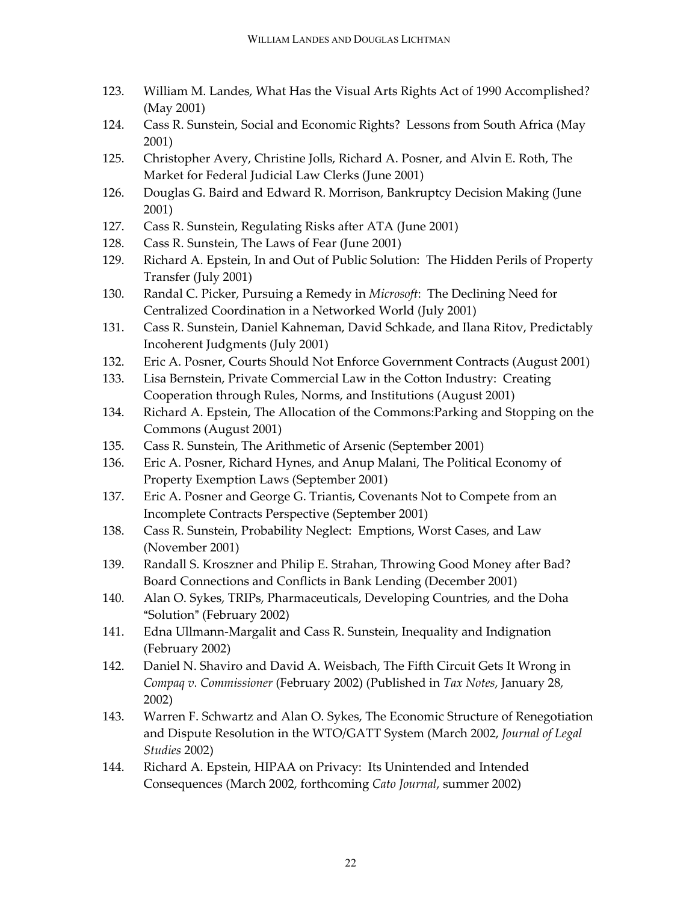- 123. William M. Landes, What Has the Visual Arts Rights Act of 1990 Accomplished? (May 2001)
- 124. Cass R. Sunstein, Social and Economic Rights? Lessons from South Africa (May 2001)
- 125. Christopher Avery, Christine Jolls, Richard A. Posner, and Alvin E. Roth, The Market for Federal Judicial Law Clerks (June 2001)
- 126. Douglas G. Baird and Edward R. Morrison, Bankruptcy Decision Making (June 2001)
- 127. Cass R. Sunstein, Regulating Risks after ATA (June 2001)
- 128. Cass R. Sunstein, The Laws of Fear (June 2001)
- 129. Richard A. Epstein, In and Out of Public Solution: The Hidden Perils of Property Transfer (July 2001)
- 130. Randal C. Picker, Pursuing a Remedy in *Microsoft*: The Declining Need for Centralized Coordination in a Networked World (July 2001)
- 131. Cass R. Sunstein, Daniel Kahneman, David Schkade, and Ilana Ritov, Predictably Incoherent Judgments (July 2001)
- 132. Eric A. Posner, Courts Should Not Enforce Government Contracts (August 2001)
- 133. Lisa Bernstein, Private Commercial Law in the Cotton Industry: Creating Cooperation through Rules, Norms, and Institutions (August 2001)
- 134. Richard A. Epstein, The Allocation of the Commons:Parking and Stopping on the Commons (August 2001)
- 135. Cass R. Sunstein, The Arithmetic of Arsenic (September 2001)
- 136. Eric A. Posner, Richard Hynes, and Anup Malani, The Political Economy of Property Exemption Laws (September 2001)
- 137. Eric A. Posner and George G. Triantis, Covenants Not to Compete from an Incomplete Contracts Perspective (September 2001)
- 138. Cass R. Sunstein, Probability Neglect: Emptions, Worst Cases, and Law (November 2001)
- 139. Randall S. Kroszner and Philip E. Strahan, Throwing Good Money after Bad? Board Connections and Conflicts in Bank Lending (December 2001)
- 140. Alan O. Sykes, TRIPs, Pharmaceuticals, Developing Countries, and the Doha "Solution" (February 2002)
- 141. Edna Ullmann-Margalit and Cass R. Sunstein, Inequality and Indignation (February 2002)
- 142. Daniel N. Shaviro and David A. Weisbach, The Fifth Circuit Gets It Wrong in *Compaq v. Commissioner* (February 2002) (Published in *Tax Notes*, January 28, 2002)
- 143. Warren F. Schwartz and Alan O. Sykes, The Economic Structure of Renegotiation and Dispute Resolution in the WTO/GATT System (March 2002, *Journal of Legal Studies* 2002)
- 144. Richard A. Epstein, HIPAA on Privacy: Its Unintended and Intended Consequences (March 2002, forthcoming *Cato Journal*, summer 2002)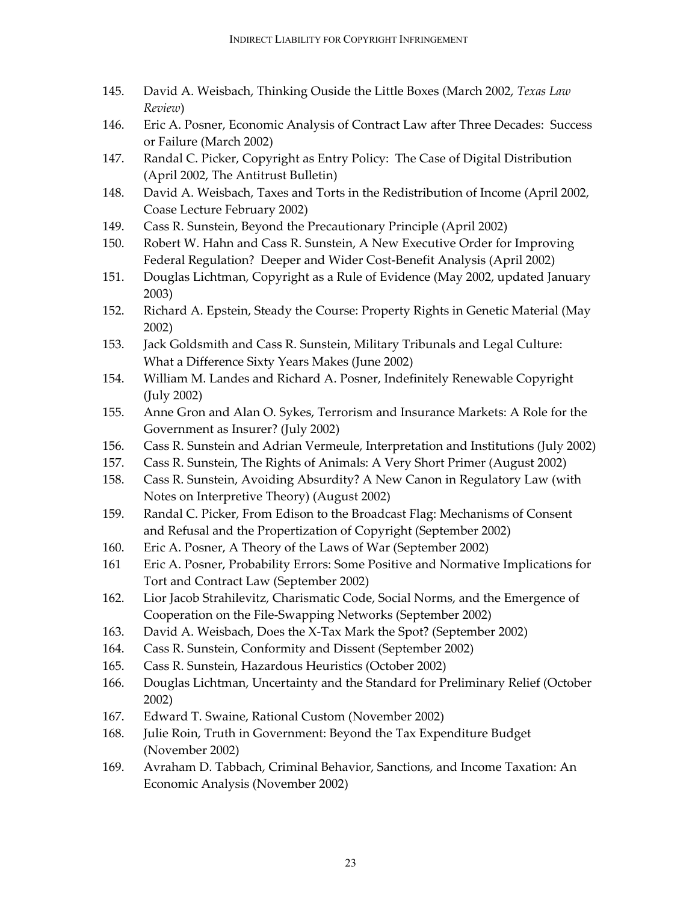- 145. David A. Weisbach, Thinking Ouside the Little Boxes (March 2002, *Texas Law Review*)
- 146. Eric A. Posner, Economic Analysis of Contract Law after Three Decades: Success or Failure (March 2002)
- 147. Randal C. Picker, Copyright as Entry Policy: The Case of Digital Distribution (April 2002, The Antitrust Bulletin)
- 148. David A. Weisbach, Taxes and Torts in the Redistribution of Income (April 2002, Coase Lecture February 2002)
- 149. Cass R. Sunstein, Beyond the Precautionary Principle (April 2002)
- 150. Robert W. Hahn and Cass R. Sunstein, A New Executive Order for Improving Federal Regulation? Deeper and Wider Cost-Benefit Analysis (April 2002)
- 151. Douglas Lichtman, Copyright as a Rule of Evidence (May 2002, updated January 2003)
- 152. Richard A. Epstein, Steady the Course: Property Rights in Genetic Material (May 2002)
- 153. Jack Goldsmith and Cass R. Sunstein, Military Tribunals and Legal Culture: What a Difference Sixty Years Makes (June 2002)
- 154. William M. Landes and Richard A. Posner, Indefinitely Renewable Copyright (July 2002)
- 155. Anne Gron and Alan O. Sykes, Terrorism and Insurance Markets: A Role for the Government as Insurer? (July 2002)
- 156. Cass R. Sunstein and Adrian Vermeule, Interpretation and Institutions (July 2002)
- 157. Cass R. Sunstein, The Rights of Animals: A Very Short Primer (August 2002)
- 158. Cass R. Sunstein, Avoiding Absurdity? A New Canon in Regulatory Law (with Notes on Interpretive Theory) (August 2002)
- 159. Randal C. Picker, From Edison to the Broadcast Flag: Mechanisms of Consent and Refusal and the Propertization of Copyright (September 2002)
- 160. Eric A. Posner, A Theory of the Laws of War (September 2002)
- 161 Eric A. Posner, Probability Errors: Some Positive and Normative Implications for Tort and Contract Law (September 2002)
- 162. Lior Jacob Strahilevitz, Charismatic Code, Social Norms, and the Emergence of Cooperation on the File-Swapping Networks (September 2002)
- 163. David A. Weisbach, Does the X-Tax Mark the Spot? (September 2002)
- 164. Cass R. Sunstein, Conformity and Dissent (September 2002)
- 165. Cass R. Sunstein, Hazardous Heuristics (October 2002)
- 166. Douglas Lichtman, Uncertainty and the Standard for Preliminary Relief (October 2002)
- 167. Edward T. Swaine, Rational Custom (November 2002)
- 168. Julie Roin, Truth in Government: Beyond the Tax Expenditure Budget (November 2002)
- 169. Avraham D. Tabbach, Criminal Behavior, Sanctions, and Income Taxation: An Economic Analysis (November 2002)